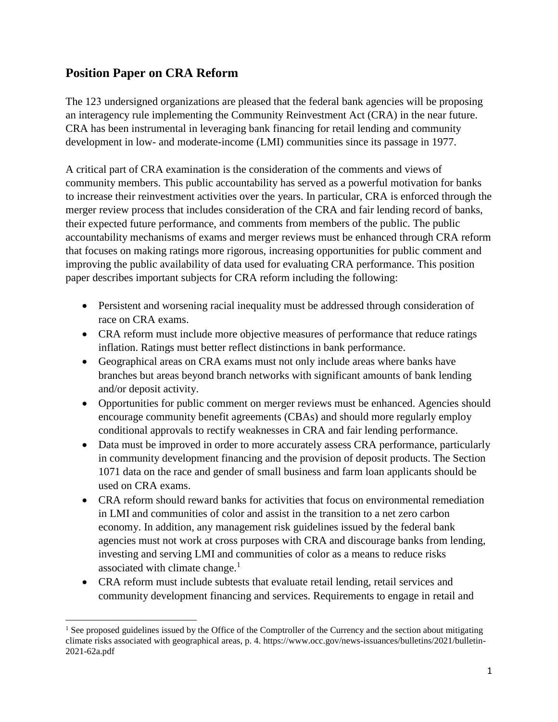# **Position Paper on CRA Reform**

The 123 undersigned organizations are pleased that the federal bank agencies will be proposing an interagency rule implementing the Community Reinvestment Act (CRA) in the near future. CRA has been instrumental in leveraging bank financing for retail lending and community development in low- and moderate-income (LMI) communities since its passage in 1977.

A critical part of CRA examination is the consideration of the comments and views of community members. This public accountability has served as a powerful motivation for banks to increase their reinvestment activities over the years. In particular, CRA is enforced through the merger review process that includes consideration of the CRA and fair lending record of banks, their expected future performance, and comments from members of the public. The public accountability mechanisms of exams and merger reviews must be enhanced through CRA reform that focuses on making ratings more rigorous, increasing opportunities for public comment and improving the public availability of data used for evaluating CRA performance. This position paper describes important subjects for CRA reform including the following:

- Persistent and worsening racial inequality must be addressed through consideration of race on CRA exams.
- CRA reform must include more objective measures of performance that reduce ratings inflation. Ratings must better reflect distinctions in bank performance.
- Geographical areas on CRA exams must not only include areas where banks have branches but areas beyond branch networks with significant amounts of bank lending and/or deposit activity.
- Opportunities for public comment on merger reviews must be enhanced. Agencies should encourage community benefit agreements (CBAs) and should more regularly employ conditional approvals to rectify weaknesses in CRA and fair lending performance.
- Data must be improved in order to more accurately assess CRA performance, particularly in community development financing and the provision of deposit products. The Section 1071 data on the race and gender of small business and farm loan applicants should be used on CRA exams.
- CRA reform should reward banks for activities that focus on environmental remediation in LMI and communities of color and assist in the transition to a net zero carbon economy. In addition, any management risk guidelines issued by the federal bank agencies must not work at cross purposes with CRA and discourage banks from lending, investing and serving LMI and communities of color as a means to reduce risks associated with climate change. $<sup>1</sup>$ </sup>
- CRA reform must include subtests that evaluate retail lending, retail services and community development financing and services. Requirements to engage in retail and

<sup>&</sup>lt;sup>1</sup> See proposed guidelines issued by the Office of the Comptroller of the Currency and the section about mitigating climate risks associated with geographical areas, p. 4. https://www.occ.gov/news-issuances/bulletins/2021/bulletin-2021-62a.pdf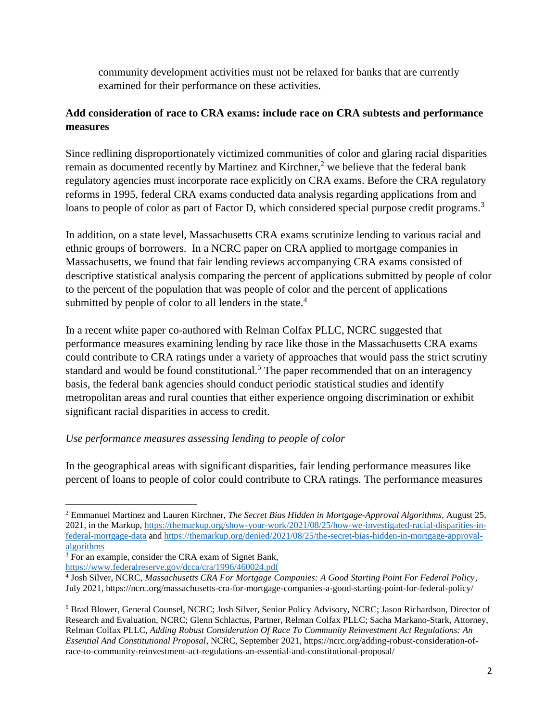community development activities must not be relaxed for banks that are currently examined for their performance on these activities.

## **Add consideration of race to CRA exams: include race on CRA subtests and performance measures**

Since redlining disproportionately victimized communities of color and glaring racial disparities remain as documented recently by Martinez and Kirchner,<sup>2</sup> we believe that the federal bank regulatory agencies must incorporate race explicitly on CRA exams. Before the CRA regulatory reforms in 1995, federal CRA exams conducted data analysis regarding applications from and loans to people of color as part of Factor D, which considered special purpose credit programs.<sup>3</sup>

In addition, on a state level, Massachusetts CRA exams scrutinize lending to various racial and ethnic groups of borrowers. In a NCRC paper on CRA applied to mortgage companies in Massachusetts, we found that fair lending reviews accompanying CRA exams consisted of descriptive statistical analysis comparing the percent of applications submitted by people of color to the percent of the population that was people of color and the percent of applications submitted by people of color to all lenders in the state.<sup>4</sup>

In a recent white paper co-authored with Relman Colfax PLLC, NCRC suggested that performance measures examining lending by race like those in the Massachusetts CRA exams could contribute to CRA ratings under a variety of approaches that would pass the strict scrutiny standard and would be found constitutional.<sup>5</sup> The paper recommended that on an interagency basis, the federal bank agencies should conduct periodic statistical studies and identify metropolitan areas and rural counties that either experience ongoing discrimination or exhibit significant racial disparities in access to credit.

### *Use performance measures assessing lending to people of color*

In the geographical areas with significant disparities, fair lending performance measures like percent of loans to people of color could contribute to CRA ratings. The performance measures

<sup>2</sup> Emmanuel Martinez and Lauren Kirchner, *The Secret Bias Hidden in Mortgage-Approval Algorithms*, August 25, 2021, in the Markup, [https://themarkup.org/show-your-work/2021/08/25/how-we-investigated-racial-disparities-in](https://themarkup.org/show-your-work/2021/08/25/how-we-investigated-racial-disparities-in-federal-mortgage-data)[federal-mortgage-data](https://themarkup.org/show-your-work/2021/08/25/how-we-investigated-racial-disparities-in-federal-mortgage-data) and [https://themarkup.org/denied/2021/08/25/the-secret-bias-hidden-in-mortgage-approval](https://themarkup.org/denied/2021/08/25/the-secret-bias-hidden-in-mortgage-approval-algorithms)[algorithms](https://themarkup.org/denied/2021/08/25/the-secret-bias-hidden-in-mortgage-approval-algorithms)

<sup>&</sup>lt;sup>3</sup> For an example, consider the CRA exam of Signet Bank,

<https://www.federalreserve.gov/dcca/cra/1996/460024.pdf>

<sup>4</sup> Josh Silver, NCRC, *Massachusetts CRA For Mortgage Companies: A Good Starting Point For Federal Policy*, July 2021, https://ncrc.org/massachusetts-cra-for-mortgage-companies-a-good-starting-point-for-federal-policy/

<sup>5</sup> Brad Blower, General Counsel, NCRC; Josh Silver, Senior Policy Advisory, NCRC; Jason Richardson, Director of Research and Evaluation, NCRC; Glenn Schlactus, Partner, Relman Colfax PLLC; Sacha Markano-Stark, Attorney, Relman Colfax PLLC, *Adding Robust Consideration Of Race To Community Reinvestment Act Regulations: An Essential And Constitutional Proposal*, NCRC, September 2021, https://ncrc.org/adding-robust-consideration-ofrace-to-community-reinvestment-act-regulations-an-essential-and-constitutional-proposal/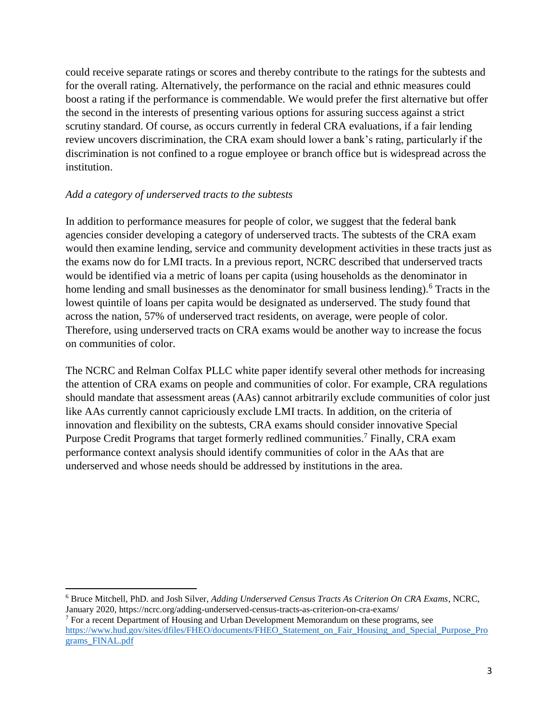could receive separate ratings or scores and thereby contribute to the ratings for the subtests and for the overall rating. Alternatively, the performance on the racial and ethnic measures could boost a rating if the performance is commendable. We would prefer the first alternative but offer the second in the interests of presenting various options for assuring success against a strict scrutiny standard. Of course, as occurs currently in federal CRA evaluations, if a fair lending review uncovers discrimination, the CRA exam should lower a bank's rating, particularly if the discrimination is not confined to a rogue employee or branch office but is widespread across the institution.

### *Add a category of underserved tracts to the subtests*

In addition to performance measures for people of color, we suggest that the federal bank agencies consider developing a category of underserved tracts. The subtests of the CRA exam would then examine lending, service and community development activities in these tracts just as the exams now do for LMI tracts. In a previous report, NCRC described that underserved tracts would be identified via a metric of loans per capita (using households as the denominator in home lending and small businesses as the denominator for small business lending).<sup>6</sup> Tracts in the lowest quintile of loans per capita would be designated as underserved. The study found that across the nation, 57% of underserved tract residents, on average, were people of color. Therefore, using underserved tracts on CRA exams would be another way to increase the focus on communities of color.

The NCRC and Relman Colfax PLLC white paper identify several other methods for increasing the attention of CRA exams on people and communities of color. For example, CRA regulations should mandate that assessment areas (AAs) cannot arbitrarily exclude communities of color just like AAs currently cannot capriciously exclude LMI tracts. In addition, on the criteria of innovation and flexibility on the subtests, CRA exams should consider innovative Special Purpose Credit Programs that target formerly redlined communities.<sup>7</sup> Finally, CRA exam performance context analysis should identify communities of color in the AAs that are underserved and whose needs should be addressed by institutions in the area.

 $\overline{\phantom{a}}$ <sup>6</sup> Bruce Mitchell, PhD. and Josh Silver, *Adding Underserved Census Tracts As Criterion On CRA Exams,* NCRC, January 2020, https://ncrc.org/adding-underserved-census-tracts-as-criterion-on-cra-exams/

<sup>7</sup> For a recent Department of Housing and Urban Development Memorandum on these programs, see [https://www.hud.gov/sites/dfiles/FHEO/documents/FHEO\\_Statement\\_on\\_Fair\\_Housing\\_and\\_Special\\_Purpose\\_Pro](https://www.hud.gov/sites/dfiles/FHEO/documents/FHEO_Statement_on_Fair_Housing_and_Special_Purpose_Programs_FINAL.pdf) [grams\\_FINAL.pdf](https://www.hud.gov/sites/dfiles/FHEO/documents/FHEO_Statement_on_Fair_Housing_and_Special_Purpose_Programs_FINAL.pdf)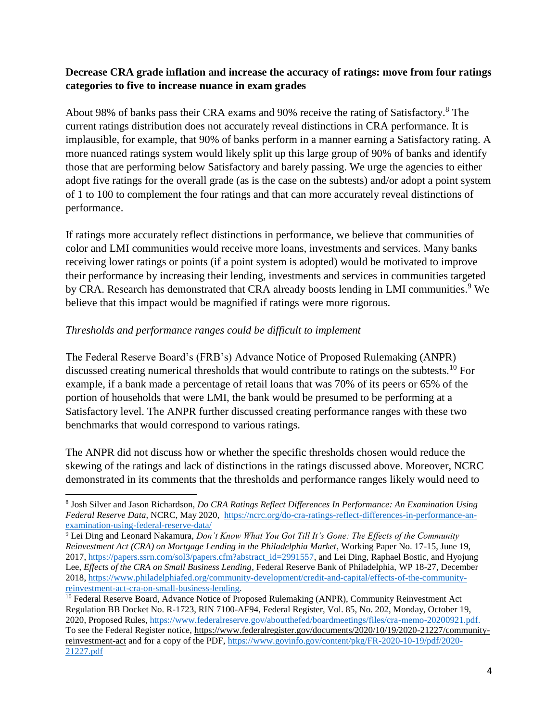### **Decrease CRA grade inflation and increase the accuracy of ratings: move from four ratings categories to five to increase nuance in exam grades**

About 98% of banks pass their CRA exams and 90% receive the rating of Satisfactory.<sup>8</sup> The current ratings distribution does not accurately reveal distinctions in CRA performance. It is implausible, for example, that 90% of banks perform in a manner earning a Satisfactory rating. A more nuanced ratings system would likely split up this large group of 90% of banks and identify those that are performing below Satisfactory and barely passing. We urge the agencies to either adopt five ratings for the overall grade (as is the case on the subtests) and/or adopt a point system of 1 to 100 to complement the four ratings and that can more accurately reveal distinctions of performance.

If ratings more accurately reflect distinctions in performance, we believe that communities of color and LMI communities would receive more loans, investments and services. Many banks receiving lower ratings or points (if a point system is adopted) would be motivated to improve their performance by increasing their lending, investments and services in communities targeted by CRA. Research has demonstrated that CRA already boosts lending in LMI communities.<sup>9</sup> We believe that this impact would be magnified if ratings were more rigorous.

### *Thresholds and performance ranges could be difficult to implement*

The Federal Reserve Board's (FRB's) Advance Notice of Proposed Rulemaking (ANPR) discussed creating numerical thresholds that would contribute to ratings on the subtests.<sup>10</sup> For example, if a bank made a percentage of retail loans that was 70% of its peers or 65% of the portion of households that were LMI, the bank would be presumed to be performing at a Satisfactory level. The ANPR further discussed creating performance ranges with these two benchmarks that would correspond to various ratings.

The ANPR did not discuss how or whether the specific thresholds chosen would reduce the skewing of the ratings and lack of distinctions in the ratings discussed above. Moreover, NCRC demonstrated in its comments that the thresholds and performance ranges likely would need to

 $\overline{\phantom{a}}$ 8 Josh Silver and Jason Richardson, *Do CRA Ratings Reflect Differences In Performance: An Examination Using Federal Reserve Data,* NCRC, May 2020*,* [https://ncrc.org/do-cra-ratings-reflect-differences-in-performance-an](https://ncrc.org/do-cra-ratings-reflect-differences-in-performance-an-examination-using-federal-reserve-data/)[examination-using-federal-reserve-data/](https://ncrc.org/do-cra-ratings-reflect-differences-in-performance-an-examination-using-federal-reserve-data/)

<sup>9</sup> Lei Ding and Leonard Nakamura, *Don't Know What You Got Till It's Gone: The Effects of the Community Reinvestment Act (CRA) on Mortgage Lending in the Philadelphia Market*, Working Paper No. 17-15, June 19, 2017, [https://papers.ssrn.com/sol3/papers.cfm?abstract\\_id=2991557,](https://papers.ssrn.com/sol3/papers.cfm?abstract_id=2991557) and Lei Ding, Raphael Bostic, and Hyojung Lee, *Effects of the CRA on Small Business Lending*, Federal Reserve Bank of Philadelphia, WP 18-27, December 2018, [https://www.philadelphiafed.org/community-development/credit-and-capital/effects-of-the-community](https://www.philadelphiafed.org/community-development/credit-and-capital/effects-of-the-community-reinvestment-act-cra-on-small-business-lending)[reinvestment-act-cra-on-small-business-lending.](https://www.philadelphiafed.org/community-development/credit-and-capital/effects-of-the-community-reinvestment-act-cra-on-small-business-lending)

<sup>&</sup>lt;sup>10</sup> Federal Reserve Board, Advance Notice of Proposed Rulemaking (ANPR), Community Reinvestment Act Regulation BB Docket No. R-1723, RIN 7100-AF94, Federal Register, Vol. 85, No. 202, Monday, October 19, 2020, Proposed Rules, [https://www.federalreserve.gov/aboutthefed/boardmeetings/files/cra-memo-20200921.pdf.](https://www.federalreserve.gov/aboutthefed/boardmeetings/files/cra-memo-20200921.pdf) To see the Federal Register notice, [https://www.federalregister.gov/documents/2020/10/19/2020-21227/community](https://www.federalregister.gov/documents/2020/10/19/2020-21227/community-reinvestment-act)[reinvestment-act](https://www.federalregister.gov/documents/2020/10/19/2020-21227/community-reinvestment-act) and for a copy of the PDF, [https://www.govinfo.gov/content/pkg/FR-2020-10-19/pdf/2020-](https://www.govinfo.gov/content/pkg/FR-2020-10-19/pdf/2020-21227.pdf) [21227.pdf](https://www.govinfo.gov/content/pkg/FR-2020-10-19/pdf/2020-21227.pdf)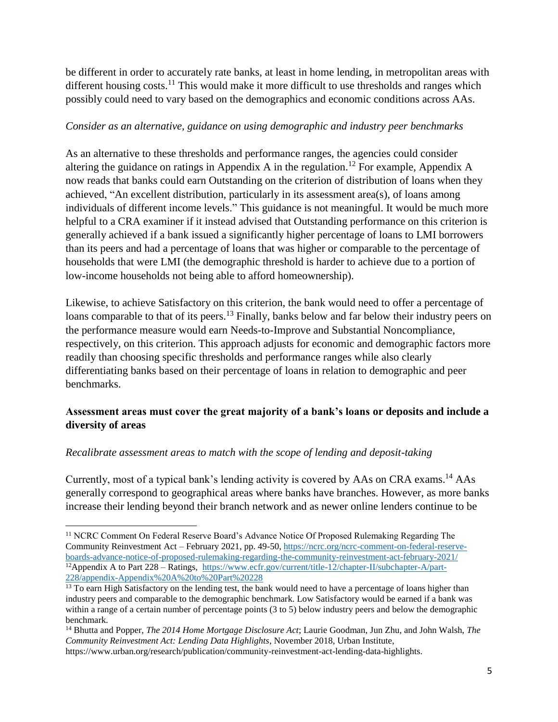be different in order to accurately rate banks, at least in home lending, in metropolitan areas with different housing costs.<sup>11</sup> This would make it more difficult to use thresholds and ranges which possibly could need to vary based on the demographics and economic conditions across AAs.

### *Consider as an alternative, guidance on using demographic and industry peer benchmarks*

As an alternative to these thresholds and performance ranges, the agencies could consider altering the guidance on ratings in Appendix A in the regulation.<sup>12</sup> For example, Appendix A now reads that banks could earn Outstanding on the criterion of distribution of loans when they achieved, "An excellent distribution, particularly in its assessment area(s), of loans among individuals of different income levels." This guidance is not meaningful. It would be much more helpful to a CRA examiner if it instead advised that Outstanding performance on this criterion is generally achieved if a bank issued a significantly higher percentage of loans to LMI borrowers than its peers and had a percentage of loans that was higher or comparable to the percentage of households that were LMI (the demographic threshold is harder to achieve due to a portion of low-income households not being able to afford homeownership).

Likewise, to achieve Satisfactory on this criterion, the bank would need to offer a percentage of loans comparable to that of its peers.<sup>13</sup> Finally, banks below and far below their industry peers on the performance measure would earn Needs-to-Improve and Substantial Noncompliance, respectively, on this criterion. This approach adjusts for economic and demographic factors more readily than choosing specific thresholds and performance ranges while also clearly differentiating banks based on their percentage of loans in relation to demographic and peer benchmarks.

## **Assessment areas must cover the great majority of a bank's loans or deposits and include a diversity of areas**

## *Recalibrate assessment areas to match with the scope of lending and deposit-taking*

 $\overline{\phantom{a}}$ 

Currently, most of a typical bank's lending activity is covered by AAs on CRA exams.<sup>14</sup> AAs generally correspond to geographical areas where banks have branches. However, as more banks increase their lending beyond their branch network and as newer online lenders continue to be

<sup>&</sup>lt;sup>11</sup> NCRC Comment On Federal Reserve Board's Advance Notice Of Proposed Rulemaking Regarding The Community Reinvestment Act – February 2021, pp. 49-50, [https://ncrc.org/ncrc-comment-on-federal-reserve](https://ncrc.org/ncrc-comment-on-federal-reserve-boards-advance-notice-of-proposed-rulemaking-regarding-the-community-reinvestment-act-february-2021/)[boards-advance-notice-of-proposed-rulemaking-regarding-the-community-reinvestment-act-february-2021/](https://ncrc.org/ncrc-comment-on-federal-reserve-boards-advance-notice-of-proposed-rulemaking-regarding-the-community-reinvestment-act-february-2021/) <sup>12</sup>Appendix A to Part 228 – Ratings, [https://www.ecfr.gov/current/title-12/chapter-II/subchapter-A/part-](https://www.ecfr.gov/current/title-12/chapter-II/subchapter-A/part-228/appendix-Appendix%20A%20to%20Part%20228)[228/appendix-Appendix%20A%20to%20Part%20228](https://www.ecfr.gov/current/title-12/chapter-II/subchapter-A/part-228/appendix-Appendix%20A%20to%20Part%20228)

<sup>&</sup>lt;sup>13</sup> To earn High Satisfactory on the lending test, the bank would need to have a percentage of loans higher than industry peers and comparable to the demographic benchmark. Low Satisfactory would be earned if a bank was within a range of a certain number of percentage points (3 to 5) below industry peers and below the demographic benchmark.

<sup>14</sup> Bhutta and Popper, *The 2014 Home Mortgage Disclosure Act*; Laurie Goodman, Jun Zhu, and John Walsh, *The Community Reinvestment Act: Lending Data Highlights*, November 2018, Urban Institute,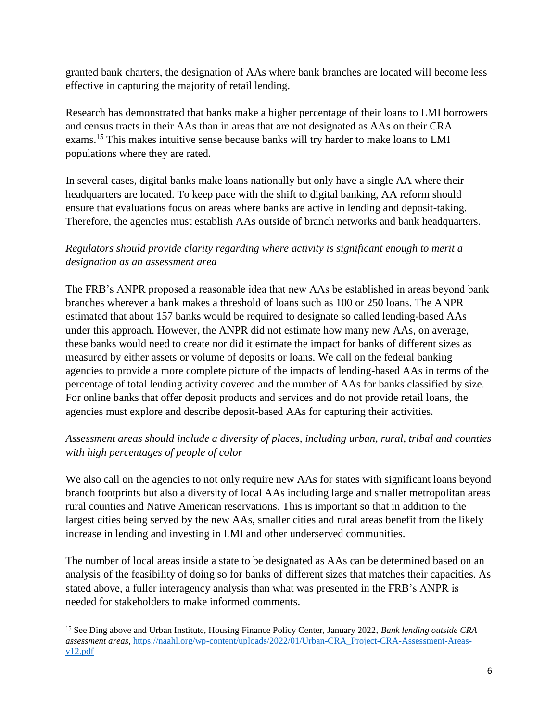granted bank charters, the designation of AAs where bank branches are located will become less effective in capturing the majority of retail lending.

Research has demonstrated that banks make a higher percentage of their loans to LMI borrowers and census tracts in their AAs than in areas that are not designated as AAs on their CRA exams.<sup>15</sup> This makes intuitive sense because banks will try harder to make loans to LMI populations where they are rated.

In several cases, digital banks make loans nationally but only have a single AA where their headquarters are located. To keep pace with the shift to digital banking, AA reform should ensure that evaluations focus on areas where banks are active in lending and deposit-taking. Therefore, the agencies must establish AAs outside of branch networks and bank headquarters.

# *Regulators should provide clarity regarding where activity is significant enough to merit a designation as an assessment area*

The FRB's ANPR proposed a reasonable idea that new AAs be established in areas beyond bank branches wherever a bank makes a threshold of loans such as 100 or 250 loans. The ANPR estimated that about 157 banks would be required to designate so called lending-based AAs under this approach. However, the ANPR did not estimate how many new AAs, on average, these banks would need to create nor did it estimate the impact for banks of different sizes as measured by either assets or volume of deposits or loans. We call on the federal banking agencies to provide a more complete picture of the impacts of lending-based AAs in terms of the percentage of total lending activity covered and the number of AAs for banks classified by size. For online banks that offer deposit products and services and do not provide retail loans, the agencies must explore and describe deposit-based AAs for capturing their activities.

# *Assessment areas should include a diversity of places, including urban, rural, tribal and counties with high percentages of people of color*

We also call on the agencies to not only require new AAs for states with significant loans beyond branch footprints but also a diversity of local AAs including large and smaller metropolitan areas rural counties and Native American reservations. This is important so that in addition to the largest cities being served by the new AAs, smaller cities and rural areas benefit from the likely increase in lending and investing in LMI and other underserved communities.

The number of local areas inside a state to be designated as AAs can be determined based on an analysis of the feasibility of doing so for banks of different sizes that matches their capacities. As stated above, a fuller interagency analysis than what was presented in the FRB's ANPR is needed for stakeholders to make informed comments.

 $\overline{\phantom{a}}$ <sup>15</sup> See Ding above and Urban Institute, Housing Finance Policy Center, January 2022, *Bank lending outside CRA assessment areas*, [https://naahl.org/wp-content/uploads/2022/01/Urban-CRA\\_Project-CRA-Assessment-Areas](https://naahl.org/wp-content/uploads/2022/01/Urban-CRA_Project-CRA-Assessment-Areas-v12.pdf)[v12.pdf](https://naahl.org/wp-content/uploads/2022/01/Urban-CRA_Project-CRA-Assessment-Areas-v12.pdf)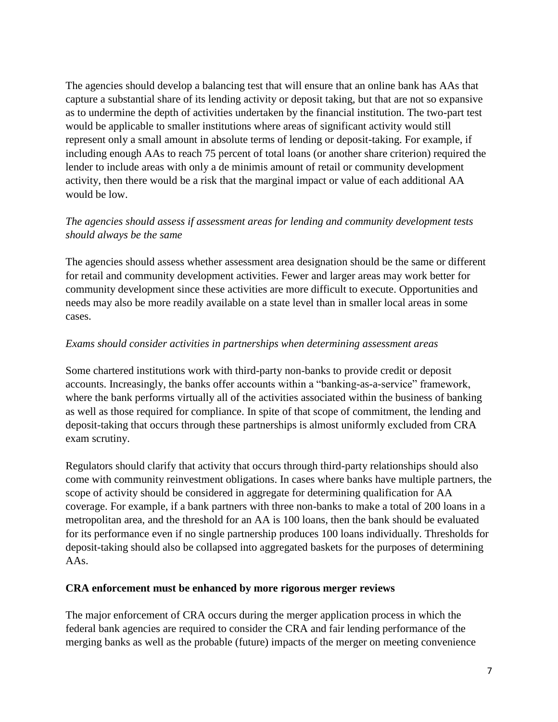The agencies should develop a balancing test that will ensure that an online bank has AAs that capture a substantial share of its lending activity or deposit taking, but that are not so expansive as to undermine the depth of activities undertaken by the financial institution. The two-part test would be applicable to smaller institutions where areas of significant activity would still represent only a small amount in absolute terms of lending or deposit-taking. For example, if including enough AAs to reach 75 percent of total loans (or another share criterion) required the lender to include areas with only a de minimis amount of retail or community development activity, then there would be a risk that the marginal impact or value of each additional AA would be low.

## *The agencies should assess if assessment areas for lending and community development tests should always be the same*

The agencies should assess whether assessment area designation should be the same or different for retail and community development activities. Fewer and larger areas may work better for community development since these activities are more difficult to execute. Opportunities and needs may also be more readily available on a state level than in smaller local areas in some cases.

### *Exams should consider activities in partnerships when determining assessment areas*

Some chartered institutions work with third-party non-banks to provide credit or deposit accounts. Increasingly, the banks offer accounts within a "banking-as-a-service" framework, where the bank performs virtually all of the activities associated within the business of banking as well as those required for compliance. In spite of that scope of commitment, the lending and deposit-taking that occurs through these partnerships is almost uniformly excluded from CRA exam scrutiny.

Regulators should clarify that activity that occurs through third-party relationships should also come with community reinvestment obligations. In cases where banks have multiple partners, the scope of activity should be considered in aggregate for determining qualification for AA coverage. For example, if a bank partners with three non-banks to make a total of 200 loans in a metropolitan area, and the threshold for an AA is 100 loans, then the bank should be evaluated for its performance even if no single partnership produces 100 loans individually. Thresholds for deposit-taking should also be collapsed into aggregated baskets for the purposes of determining AAs.

### **CRA enforcement must be enhanced by more rigorous merger reviews**

The major enforcement of CRA occurs during the merger application process in which the federal bank agencies are required to consider the CRA and fair lending performance of the merging banks as well as the probable (future) impacts of the merger on meeting convenience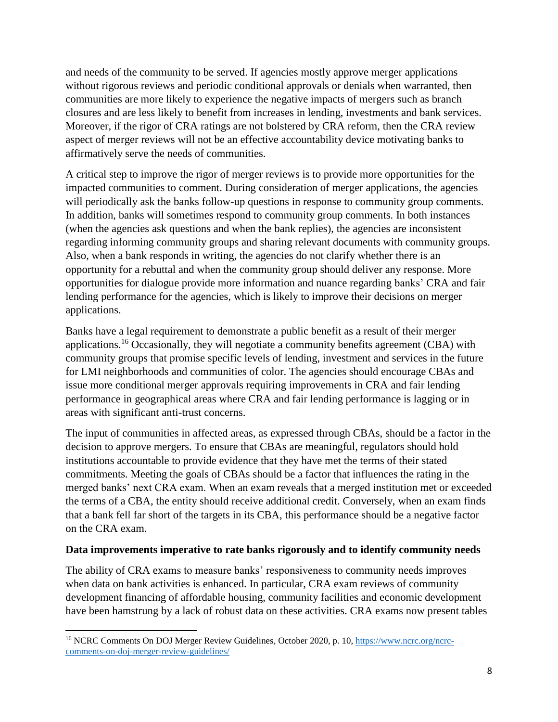and needs of the community to be served. If agencies mostly approve merger applications without rigorous reviews and periodic conditional approvals or denials when warranted, then communities are more likely to experience the negative impacts of mergers such as branch closures and are less likely to benefit from increases in lending, investments and bank services. Moreover, if the rigor of CRA ratings are not bolstered by CRA reform, then the CRA review aspect of merger reviews will not be an effective accountability device motivating banks to affirmatively serve the needs of communities.

A critical step to improve the rigor of merger reviews is to provide more opportunities for the impacted communities to comment. During consideration of merger applications, the agencies will periodically ask the banks follow-up questions in response to community group comments. In addition, banks will sometimes respond to community group comments. In both instances (when the agencies ask questions and when the bank replies), the agencies are inconsistent regarding informing community groups and sharing relevant documents with community groups. Also, when a bank responds in writing, the agencies do not clarify whether there is an opportunity for a rebuttal and when the community group should deliver any response. More opportunities for dialogue provide more information and nuance regarding banks' CRA and fair lending performance for the agencies, which is likely to improve their decisions on merger applications.

Banks have a legal requirement to demonstrate a public benefit as a result of their merger applications.<sup>16</sup> Occasionally, they will negotiate a community benefits agreement (CBA) with community groups that promise specific levels of lending, investment and services in the future for LMI neighborhoods and communities of color. The agencies should encourage CBAs and issue more conditional merger approvals requiring improvements in CRA and fair lending performance in geographical areas where CRA and fair lending performance is lagging or in areas with significant anti-trust concerns.

The input of communities in affected areas, as expressed through CBAs, should be a factor in the decision to approve mergers. To ensure that CBAs are meaningful, regulators should hold institutions accountable to provide evidence that they have met the terms of their stated commitments. Meeting the goals of CBAs should be a factor that influences the rating in the merged banks' next CRA exam. When an exam reveals that a merged institution met or exceeded the terms of a CBA, the entity should receive additional credit. Conversely, when an exam finds that a bank fell far short of the targets in its CBA, this performance should be a negative factor on the CRA exam.

### **Data improvements imperative to rate banks rigorously and to identify community needs**

The ability of CRA exams to measure banks' responsiveness to community needs improves when data on bank activities is enhanced. In particular, CRA exam reviews of community development financing of affordable housing, community facilities and economic development have been hamstrung by a lack of robust data on these activities. CRA exams now present tables

<sup>&</sup>lt;sup>16</sup> NCRC Comments On DOJ Merger Review Guidelines, October 2020, p. 10, [https://www.ncrc.org/ncrc](https://www.ncrc.org/ncrc-comments-on-doj-merger-review-guidelines/)[comments-on-doj-merger-review-guidelines/](https://www.ncrc.org/ncrc-comments-on-doj-merger-review-guidelines/)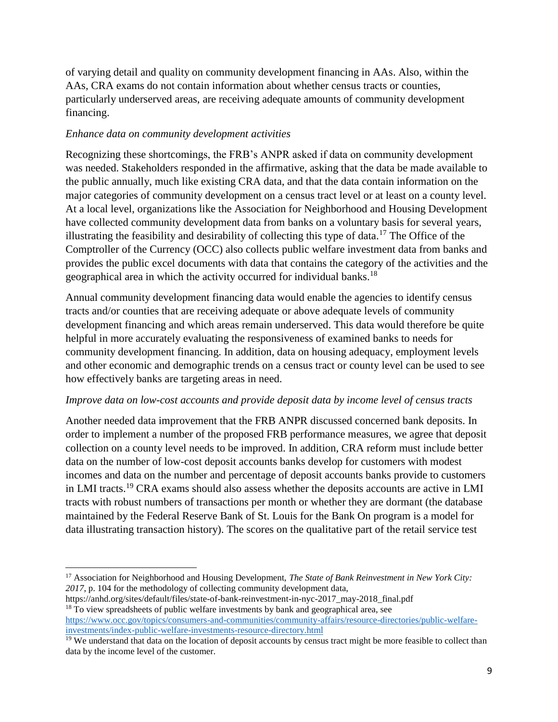of varying detail and quality on community development financing in AAs. Also, within the AAs, CRA exams do not contain information about whether census tracts or counties, particularly underserved areas, are receiving adequate amounts of community development financing.

## *Enhance data on community development activities*

Recognizing these shortcomings, the FRB's ANPR asked if data on community development was needed. Stakeholders responded in the affirmative, asking that the data be made available to the public annually, much like existing CRA data, and that the data contain information on the major categories of community development on a census tract level or at least on a county level. At a local level, organizations like the Association for Neighborhood and Housing Development have collected community development data from banks on a voluntary basis for several years, illustrating the feasibility and desirability of collecting this type of data.<sup>17</sup> The Office of the Comptroller of the Currency (OCC) also collects public welfare investment data from banks and provides the public excel documents with data that contains the category of the activities and the geographical area in which the activity occurred for individual banks.<sup>18</sup>

Annual community development financing data would enable the agencies to identify census tracts and/or counties that are receiving adequate or above adequate levels of community development financing and which areas remain underserved. This data would therefore be quite helpful in more accurately evaluating the responsiveness of examined banks to needs for community development financing. In addition, data on housing adequacy, employment levels and other economic and demographic trends on a census tract or county level can be used to see how effectively banks are targeting areas in need.

### *Improve data on low-cost accounts and provide deposit data by income level of census tracts*

Another needed data improvement that the FRB ANPR discussed concerned bank deposits. In order to implement a number of the proposed FRB performance measures, we agree that deposit collection on a county level needs to be improved. In addition, CRA reform must include better data on the number of low-cost deposit accounts banks develop for customers with modest incomes and data on the number and percentage of deposit accounts banks provide to customers in LMI tracts.<sup>19</sup> CRA exams should also assess whether the deposits accounts are active in LMI tracts with robust numbers of transactions per month or whether they are dormant (the database maintained by the Federal Reserve Bank of St. Louis for the Bank On program is a model for data illustrating transaction history). The scores on the qualitative part of the retail service test

<sup>17</sup> Association for Neighborhood and Housing Development, *The State of Bank Reinvestment in New York City: 2017*, p. 104 for the methodology of collecting community development data,

https://anhd.org/sites/default/files/state-of-bank-reinvestment-in-nyc-2017\_may-2018\_final.pdf <sup>18</sup> To view spreadsheets of public welfare investments by bank and geographical area, see [https://www.occ.gov/topics/consumers-and-communities/community-affairs/resource-directories/public-welfare](https://www.occ.gov/topics/consumers-and-communities/community-affairs/resource-directories/public-welfare-investments/index-public-welfare-investments-resource-directory.html)[investments/index-public-welfare-investments-resource-directory.html](https://www.occ.gov/topics/consumers-and-communities/community-affairs/resource-directories/public-welfare-investments/index-public-welfare-investments-resource-directory.html)

<sup>&</sup>lt;sup>19</sup> We understand that data on the location of deposit accounts by census tract might be more feasible to collect than data by the income level of the customer.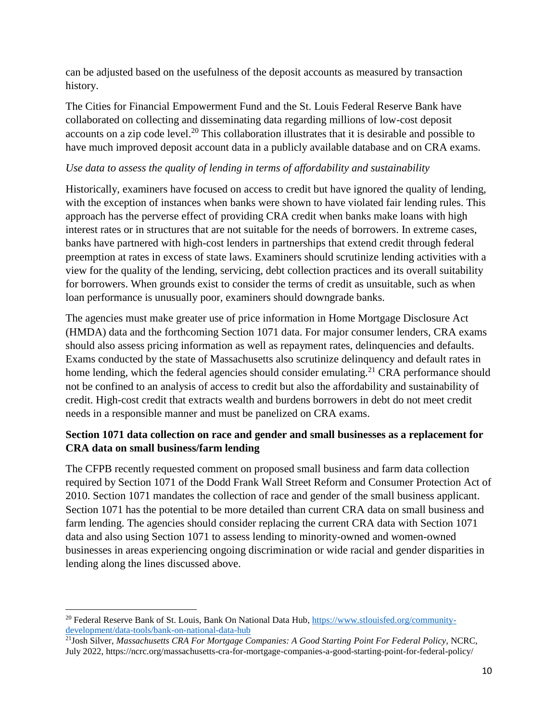can be adjusted based on the usefulness of the deposit accounts as measured by transaction history.

The Cities for Financial Empowerment Fund and the St. Louis Federal Reserve Bank have collaborated on collecting and disseminating data regarding millions of low-cost deposit accounts on a zip code level.<sup>20</sup> This collaboration illustrates that it is desirable and possible to have much improved deposit account data in a publicly available database and on CRA exams.

## *Use data to assess the quality of lending in terms of affordability and sustainability*

Historically, examiners have focused on access to credit but have ignored the quality of lending, with the exception of instances when banks were shown to have violated fair lending rules. This approach has the perverse effect of providing CRA credit when banks make loans with high interest rates or in structures that are not suitable for the needs of borrowers. In extreme cases, banks have partnered with high-cost lenders in partnerships that extend credit through federal preemption at rates in excess of state laws. Examiners should scrutinize lending activities with a view for the quality of the lending, servicing, debt collection practices and its overall suitability for borrowers. When grounds exist to consider the terms of credit as unsuitable, such as when loan performance is unusually poor, examiners should downgrade banks.

The agencies must make greater use of price information in Home Mortgage Disclosure Act (HMDA) data and the forthcoming Section 1071 data. For major consumer lenders, CRA exams should also assess pricing information as well as repayment rates, delinquencies and defaults. Exams conducted by the state of Massachusetts also scrutinize delinquency and default rates in home lending, which the federal agencies should consider emulating.<sup>21</sup> CRA performance should not be confined to an analysis of access to credit but also the affordability and sustainability of credit. High-cost credit that extracts wealth and burdens borrowers in debt do not meet credit needs in a responsible manner and must be panelized on CRA exams.

## **Section 1071 data collection on race and gender and small businesses as a replacement for CRA data on small business/farm lending**

The CFPB recently requested comment on proposed small business and farm data collection required by Section 1071 of the Dodd Frank Wall Street Reform and Consumer Protection Act of 2010. Section 1071 mandates the collection of race and gender of the small business applicant. Section 1071 has the potential to be more detailed than current CRA data on small business and farm lending. The agencies should consider replacing the current CRA data with Section 1071 data and also using Section 1071 to assess lending to minority-owned and women-owned businesses in areas experiencing ongoing discrimination or wide racial and gender disparities in lending along the lines discussed above.

<sup>&</sup>lt;sup>20</sup> Federal Reserve Bank of St. Louis, Bank On National Data Hub[, https://www.stlouisfed.org/community](https://www.stlouisfed.org/community-development/data-tools/bank-on-national-data-hub)[development/data-tools/bank-on-national-data-hub](https://www.stlouisfed.org/community-development/data-tools/bank-on-national-data-hub)

<sup>21</sup>Josh Silver, *Massachusetts CRA For Mortgage Companies: A Good Starting Point For Federal Policy,* NCRC, July 2022, https://ncrc.org/massachusetts-cra-for-mortgage-companies-a-good-starting-point-for-federal-policy/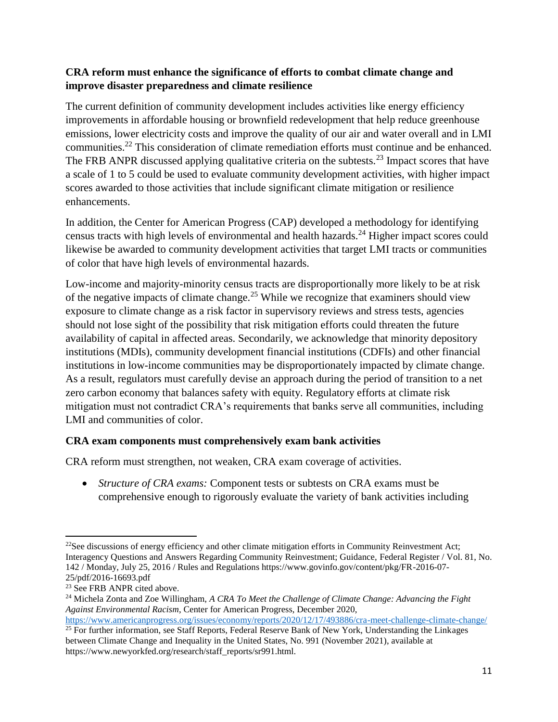## **CRA reform must enhance the significance of efforts to combat climate change and improve disaster preparedness and climate resilience**

The current definition of community development includes activities like energy efficiency improvements in affordable housing or brownfield redevelopment that help reduce greenhouse emissions, lower electricity costs and improve the quality of our air and water overall and in LMI communities.<sup>22</sup> This consideration of climate remediation efforts must continue and be enhanced. The FRB ANPR discussed applying qualitative criteria on the subtests.<sup>23</sup> Impact scores that have a scale of 1 to 5 could be used to evaluate community development activities, with higher impact scores awarded to those activities that include significant climate mitigation or resilience enhancements.

In addition, the Center for American Progress (CAP) developed a methodology for identifying census tracts with high levels of environmental and health hazards.<sup>24</sup> Higher impact scores could likewise be awarded to community development activities that target LMI tracts or communities of color that have high levels of environmental hazards.

Low-income and majority-minority census tracts are disproportionally more likely to be at risk of the negative impacts of climate change.<sup>25</sup> While we recognize that examiners should view exposure to climate change as a risk factor in supervisory reviews and stress tests, agencies should not lose sight of the possibility that risk mitigation efforts could threaten the future availability of capital in affected areas. Secondarily, we acknowledge that minority depository institutions (MDIs), community development financial institutions (CDFIs) and other financial institutions in low-income communities may be disproportionately impacted by climate change. As a result, regulators must carefully devise an approach during the period of transition to a net zero carbon economy that balances safety with equity. Regulatory efforts at climate risk mitigation must not contradict CRA's requirements that banks serve all communities, including LMI and communities of color.

## **CRA exam components must comprehensively exam bank activities**

CRA reform must strengthen, not weaken, CRA exam coverage of activities.

 *Structure of CRA exams:* Component tests or subtests on CRA exams must be comprehensive enough to rigorously evaluate the variety of bank activities including

l

 $22$ See discussions of energy efficiency and other climate mitigation efforts in Community Reinvestment Act; Interagency Questions and Answers Regarding Community Reinvestment; Guidance, Federal Register / Vol. 81, No. 142 / Monday, July 25, 2016 / Rules and Regulations https://www.govinfo.gov/content/pkg/FR-2016-07- 25/pdf/2016-16693.pdf

<sup>&</sup>lt;sup>23</sup> See FRB ANPR cited above.

<sup>24</sup> Michela Zonta and Zoe Willingham, *A CRA To Meet the Challenge of Climate Change: Advancing the Fight Against Environmental Racism*, Center for American Progress, December 2020,

<https://www.americanprogress.org/issues/economy/reports/2020/12/17/493886/cra-meet-challenge-climate-change/> <sup>25</sup> For further information, see Staff Reports, Federal Reserve Bank of New York, Understanding the Linkages

between Climate Change and Inequality in the United States, No. 991 (November 2021), available at https://www.newyorkfed.org/research/staff\_reports/sr991.html.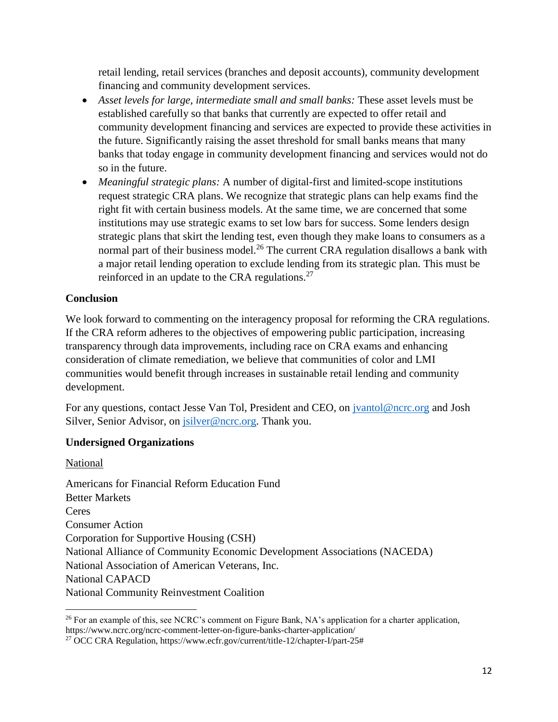retail lending, retail services (branches and deposit accounts), community development financing and community development services.

- *Asset levels for large, intermediate small and small banks:* These asset levels must be established carefully so that banks that currently are expected to offer retail and community development financing and services are expected to provide these activities in the future. Significantly raising the asset threshold for small banks means that many banks that today engage in community development financing and services would not do so in the future.
- *Meaningful strategic plans:* A number of digital-first and limited-scope institutions request strategic CRA plans. We recognize that strategic plans can help exams find the right fit with certain business models. At the same time, we are concerned that some institutions may use strategic exams to set low bars for success. Some lenders design strategic plans that skirt the lending test, even though they make loans to consumers as a normal part of their business model.<sup>26</sup> The current CRA regulation disallows a bank with a major retail lending operation to exclude lending from its strategic plan. This must be reinforced in an update to the CRA regulations.<sup>27</sup>

## **Conclusion**

We look forward to commenting on the interagency proposal for reforming the CRA regulations. If the CRA reform adheres to the objectives of empowering public participation, increasing transparency through data improvements, including race on CRA exams and enhancing consideration of climate remediation, we believe that communities of color and LMI communities would benefit through increases in sustainable retail lending and community development.

For any questions, contact Jesse Van Tol, President and CEO, on *jvantol@ncrc.org* and Josh Silver, Senior Advisor, on *jsilver@ncrc.org*. Thank you.

### **Undersigned Organizations**

National

 $\overline{a}$ 

Americans for Financial Reform Education Fund Better Markets Ceres Consumer Action Corporation for Supportive Housing (CSH) National Alliance of Community Economic Development Associations (NACEDA) National Association of American Veterans, Inc. National CAPACD National Community Reinvestment Coalition

<sup>&</sup>lt;sup>26</sup> For an example of this, see NCRC's comment on Figure Bank, NA's application for a charter application, https://www.ncrc.org/ncrc-comment-letter-on-figure-banks-charter-application/

<sup>27</sup> OCC CRA Regulation, https://www.ecfr.gov/current/title-12/chapter-I/part-25#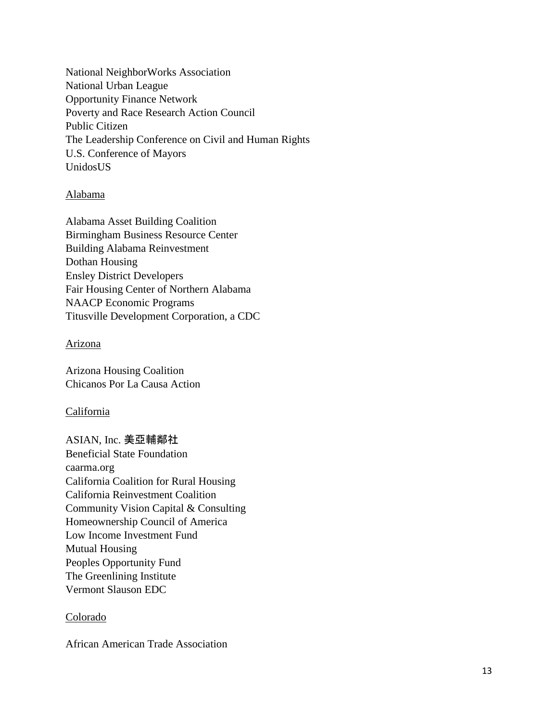National NeighborWorks Association National Urban League Opportunity Finance Network Poverty and Race Research Action Council Public Citizen The Leadership Conference on Civil and Human Rights U.S. Conference of Mayors UnidosUS

### Alabama

Alabama Asset Building Coalition Birmingham Business Resource Center Building Alabama Reinvestment Dothan Housing Ensley District Developers Fair Housing Center of Northern Alabama NAACP Economic Programs Titusville Development Corporation, a CDC

### Arizona

Arizona Housing Coalition Chicanos Por La Causa Action

### California

ASIAN, Inc. 美亞輔鄰社 Beneficial State Foundation caarma.org California Coalition for Rural Housing California Reinvestment Coalition Community Vision Capital & Consulting Homeownership Council of America Low Income Investment Fund Mutual Housing Peoples Opportunity Fund The Greenlining Institute Vermont Slauson EDC

### Colorado

African American Trade Association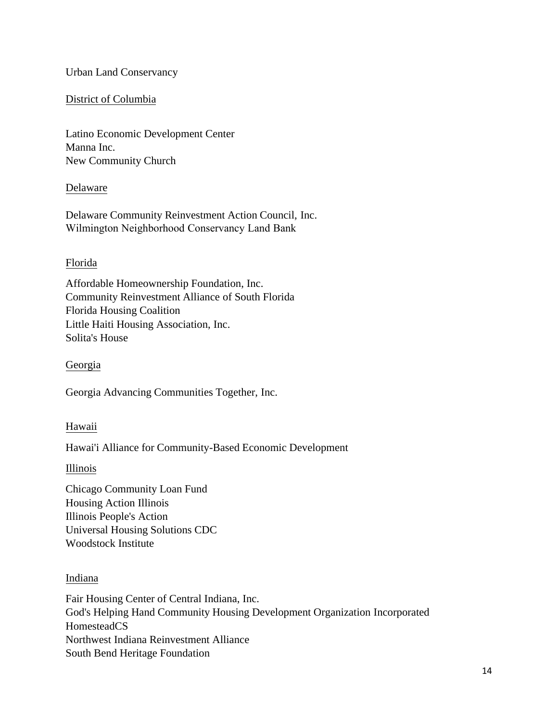### Urban Land Conservancy

### District of Columbia

Latino Economic Development Center Manna Inc. New Community Church

### Delaware

Delaware Community Reinvestment Action Council, Inc. Wilmington Neighborhood Conservancy Land Bank

### Florida

Affordable Homeownership Foundation, Inc. Community Reinvestment Alliance of South Florida Florida Housing Coalition Little Haiti Housing Association, Inc. Solita's House

### **Georgia**

Georgia Advancing Communities Together, Inc.

### Hawaii

Hawai'i Alliance for Community-Based Economic Development

Illinois

Chicago Community Loan Fund Housing Action Illinois Illinois People's Action Universal Housing Solutions CDC Woodstock Institute

### Indiana

Fair Housing Center of Central Indiana, Inc. God's Helping Hand Community Housing Development Organization Incorporated HomesteadCS Northwest Indiana Reinvestment Alliance South Bend Heritage Foundation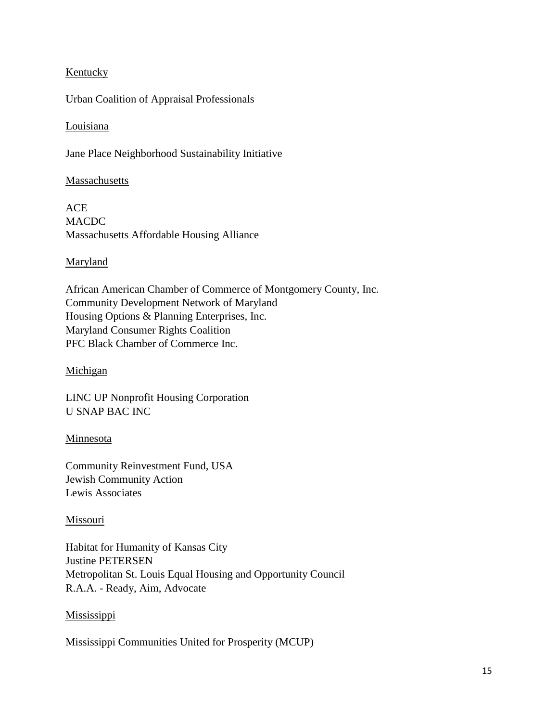### **Kentucky**

Urban Coalition of Appraisal Professionals

### Louisiana

Jane Place Neighborhood Sustainability Initiative

### Massachusetts

ACE MACDC Massachusetts Affordable Housing Alliance

### **Maryland**

African American Chamber of Commerce of Montgomery County, Inc. Community Development Network of Maryland Housing Options & Planning Enterprises, Inc. Maryland Consumer Rights Coalition PFC Black Chamber of Commerce Inc.

### Michigan

LINC UP Nonprofit Housing Corporation U SNAP BAC INC

### Minnesota

Community Reinvestment Fund, USA Jewish Community Action Lewis Associates

### Missouri

Habitat for Humanity of Kansas City Justine PETERSEN Metropolitan St. Louis Equal Housing and Opportunity Council R.A.A. - Ready, Aim, Advocate

### **Mississippi**

Mississippi Communities United for Prosperity (MCUP)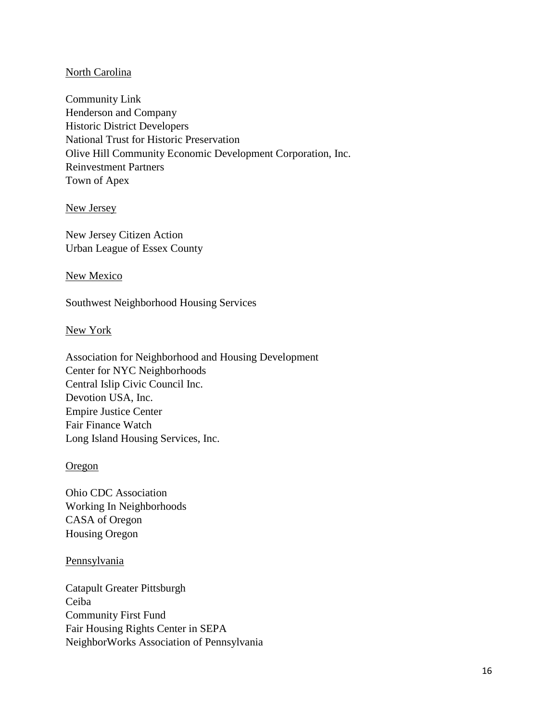### North Carolina

Community Link Henderson and Company Historic District Developers National Trust for Historic Preservation Olive Hill Community Economic Development Corporation, Inc. Reinvestment Partners Town of Apex

New Jersey

New Jersey Citizen Action Urban League of Essex County

#### New Mexico

Southwest Neighborhood Housing Services

### New York

Association for Neighborhood and Housing Development Center for NYC Neighborhoods Central Islip Civic Council Inc. Devotion USA, Inc. Empire Justice Center Fair Finance Watch Long Island Housing Services, Inc.

### **Oregon**

Ohio CDC Association Working In Neighborhoods CASA of Oregon Housing Oregon

#### **Pennsylvania**

Catapult Greater Pittsburgh Ceiba Community First Fund Fair Housing Rights Center in SEPA NeighborWorks Association of Pennsylvania